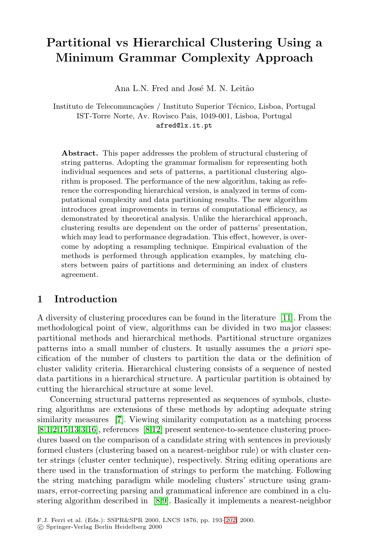# **Partitional vs Hierarchical Clustering Using a Minimum Grammar Complexity Approach**

Ana L.N. Fred and José M. N. Leitão

Instituto de Telecomuncações / Instituto Superior Técnico, Lisboa, Portugal IST-Torre Norte, Av. Rovisco Pais, 1049-001, Lisboa, Portugal afred@lx.it.pt

**Abstract.** This paper addresses the problem of structural clustering of string patterns. Adopting the grammar f[orm](#page-9-0)alism for representing both individual sequences and sets of patterns, a partitional clustering algorithm is proposed. The performance of the new algorithm, taking as reference the corresponding hierarchical version, is analyzed in terms of computational complexity and data partitioning results. The new algorithm introduces great improvements in terms of computational efficiency, as demonstrated by theoretical analysis. Unlike the hierarchical approach, clustering results are dependent on the order of patterns' presentation, which may lead to performance degradation. This effect, however, is overcome by adopting a resampling technique. Empirical evaluation of the methods is performed through application examples, by matching clusters between pairs of partitions and determining an index of clusters a[greem](#page-9-0)ent.

## **1 Introduction**

A diversity of clustering procedures can be found in the literature [11]. From the methodological point of view, algorithms can be divided in two major classes: partitional [me](#page-9-0)thods and hierarchical methods. Partitional structure organizes patterns into a small number of clusters. It usually assumes the a priori specification of the number of [clust](#page-9-0)ers to partition the data or the definition of cluster validity criteria. Hierarchical clustering consists of a sequence of nested data partitions in a hierarchical structure. A particular partition is obtained by cutting the hierarchical structure at some level.

Concerning structural patterns represented as sequences of symbols, clustering algorithms are extensions of these methods by adopting adequate string similarity measures [7]. Viewing similarity computation as a matching process [8,1,2,15,13,3,16], references [8,12] present sentence-to-sentence clustering procedures based on the comparison of a candidate string with sentences in previously formed clusters (clustering based on a nearest-neighbor rule) or with cluster center strings (cluster center technique), respectively. String editing operations are there used in the transformation of strings to perform the matching. Following the string matching paradigm while modeling clusters' structure using grammars, error-correcting parsing and grammatical inference are combined in a clustering algorithm described in [8,9]. Basically it implements a nearest-neighbor

F.J. Ferri et al. (Eds.): SSPR&SPR 2000, LNCS 1876, pp. 193–202, 2000.

 $\copyright$  Springer-Verlag Berlin Heidelberg 2000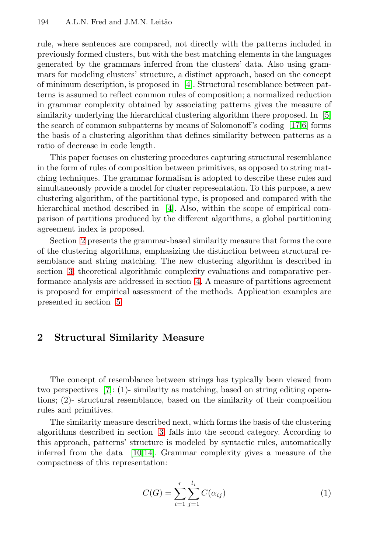<span id="page-1-0"></span>rule, where sentences are compared, not directly with the patterns included in previously formed clusters, but with the best matching elements in the languages generated by the grammars inferred from the clusters' data. Also using grammars for modeling clusters' structure, a distinct approach, based on the concept of minimum description, is proposed in [\[4\]](#page-8-0). Structural resemblance between patterns is assumed to reflect common rules of composition; a normalized reduction in grammar complexity obtained by associating patterns gives the measure of similarity underlying the hierarchical clustering algorithm there proposed. In [\[5\]](#page-8-0) the search of common subpatterns by means of Solomonoff's coding [\[17,6\]](#page-9-0) forms the basis of a clustering algorithm that defines similarity between patterns as a ratio of decrease in code length.

This paper focuses on clustering procedures capturing structural resemblance in the form of rules of composition between primitives, as opposed to string matching techniques. The grammar formalism is adopted to describe these rules and simultaneously provide a model for cluster representation. To this purpose, a new clustering algorithm, of the partitional type, is proposed and compared with the hierarchical method described in [\[4\]](#page-8-0). Also, within the scope of empirical comparison of partitions produced by the different algorithms, a global partitioning agreement index is proposed.

Section 2 presents the grammar-based similarity measure that forms the core of the clustering algorithms, emphasizing the distinction between structural resemblance and string matching. The new clustering algorithm is described in section [3;](#page-4-0) theoretical algorithmic complexity evaluations and comparative performance analysis are addressed in section [4.](#page-5-0) A measure of partitions agreement is proposed for empirical assessment of the methods. Application examples are presented in section [5.](#page-6-0)

## **2 Structural Similarity Measure**

The concept of resemblance between strings has typically been viewed from two perspectives [\[7\]](#page-9-0): (1)- similarity as matching, based on string editing operations; (2)- structural resemblance, based on the similarity of their composition rules and primitives.

The similarity measure described next, which forms the basis of the clustering algorithms described in section [3,](#page-4-0) falls into the second category. According to this approach, patterns' structure is modeled by syntactic rules, automatically inferred from the data [\[10,14\]](#page-9-0). Grammar complexity gives a measure of the compactness of this representation:

$$
C(G) = \sum_{i=1}^{r} \sum_{j=1}^{l_i} C(\alpha_{ij})
$$
 (1)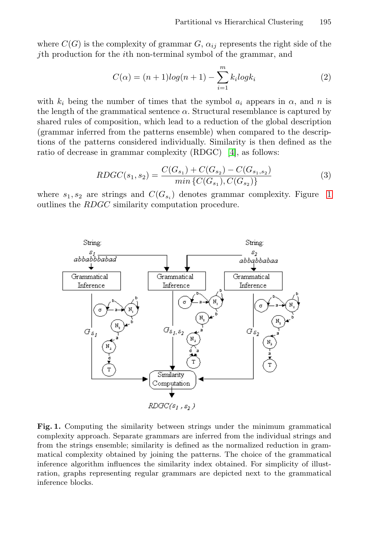<span id="page-2-0"></span>where  $C(G)$  is the complexity of grammar G,  $\alpha_{ij}$  represents the right side of the jth production for the ith non-terminal symbol of the grammar, and

$$
C(\alpha) = (n+1)log(n+1) - \sum_{i=1}^{m} k_i log k_i
$$
\n
$$
(2)
$$

with  $k_i$  being the number of times that the symbol  $a_i$  appears in  $\alpha$ , and n is the length of the grammatical sentence  $\alpha$ . Structural resemblance is captured by shared rules of composition, which lead to a reduction of the global description (grammar inferred from the patterns ensemble) when compared to the descriptions of the patterns considered individually. Similarity is then defined as the ratio of decrease in grammar complexity (RDGC) [\[4\]](#page-8-0), as follows:

$$
RDC(s_1, s_2) = \frac{C(G_{s_1}) + C(G_{s_2}) - C(G_{s_1, s_2})}{\min\{C(G_{s_1}), C(G_{s_2})\}}
$$
(3)

where  $s_1, s_2$  are strings and  $C(G_{s_i})$  denotes grammar complexity. Figure 1 outlines the RDGC similarity computation procedure.



**Fig. 1.** Computing the similarity between strings under the minimum grammatical complexity approach. Separate grammars are inferred from the individual strings and from the strings ensemble; similarity is defined as the normalized reduction in grammatical complexity obtained by joining the patterns. The choice of the grammatical inference algorithm influences the similarity index obtained. For simplicity of illustration, graphs representing regular grammars are depicted next to the grammatical inference blocks.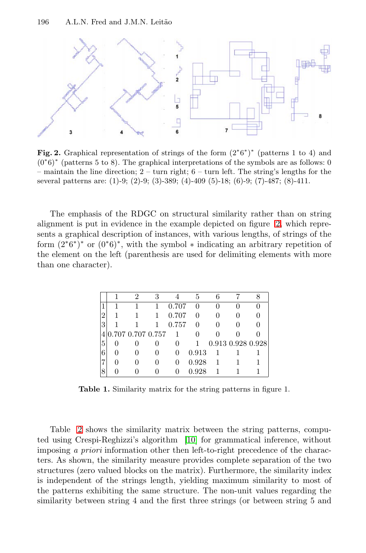

**Fig. 2.** Graphical representation of strings of the form  $(2^*6^*)^*$  (patterns 1 to 4) and (0∗6)<sup>∗</sup> (patterns 5 to 8). The graphical interpretations of the symbols are as follows: 0 – maintain the line direction;  $2$  – turn right;  $6$  – turn left. The string's lengths for the several patterns are: (1)-9; (2)-9; (3)-389; (4)-409 (5)-18; (6)-9; (7)-487; (8)-411.

The emphasis of the RDGC on structural similarity rather than on string alignment is put in evidence in the example depicted on figure 2, which represents a graphical description of instances, with various lengths, of strings of the form  $(2<sup>*</sup>6<sup>*</sup>)<sup>*</sup>$  or  $(0<sup>*</sup>6)<sup>*</sup>$ , with the symbol  $*$  indicating an arbitrary repetition of the element on the left (parenthesis are used for delimiting elements with more than one character).

|   |                   | 2 | २ |          | 5        |  |                   |
|---|-------------------|---|---|----------|----------|--|-------------------|
|   |                   |   |   | 0.707    | 0        |  | $\mathcal{O}$     |
| 2 |                   |   |   | 0.707    | 0        |  |                   |
| 3 |                   |   |   | 0.757    | $\theta$ |  |                   |
| 4 | 0.707 0.707 0.757 |   |   | 1        |          |  |                   |
| 5 | 0                 |   |   |          | 1        |  | 0.913 0.928 0.928 |
| 6 | $\mathcal{O}$     |   |   | $\theta$ | 0.913    |  |                   |
| 7 |                   |   |   |          | 0.928    |  |                   |
| 8 |                   |   |   |          | 0.928    |  |                   |

**Table 1.** Similarity matrix for the string patterns in figure 1.

Table 2 shows the similarity matrix between the string patterns, computed using Crespi-Reghizzi's algorithm [\[10\]](#page-9-0) for grammatical inference, without imposing a priori information other then left-to-right precedence of the characters. As shown, the similarity measure provides complete separation of the two structures (zero valued blocks on the matrix). Furthermore, the similarity index is independent of the strings length, yielding maximum similarity to most of the patterns exhibiting the same structure. The non-unit values regarding the similarity between string 4 and the first three strings (or between string 5 and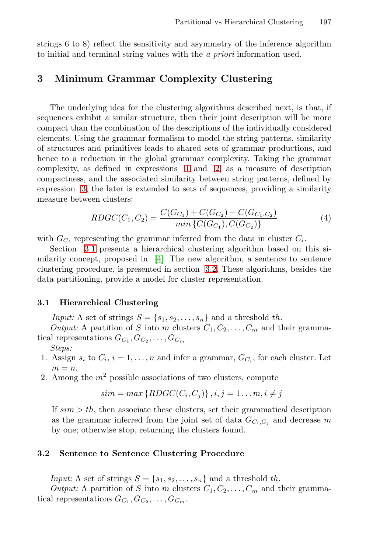<span id="page-4-0"></span>strings 6 to 8) reflect the sensitivity and asymmetry of the inference algorithm to initial and terminal string values with the a priori information used.

## **3 Minimum Grammar Complexity Clustering**

The underlying idea for the clustering algorithms described next, is that, if sequences exhibit a similar structure, then their joint description will be more compact than the combination of the descriptions of the individually considered elements. Using the grammar formalism to model the string patterns, similarity of structures and primitives leads to shared sets of grammar productions, and hence to a reduction in the global grammar complexity. Taking the grammar complexity, as defined in expressions [1](#page-1-0) and [2,](#page-2-0) as a measure of description compactness, and the associated similarity between string patterns, defined by expression [3,](#page-2-0) the later is extended to sets of sequences, providing a similarity measure between clusters:

$$
RDC(C_1, C_2) = \frac{C(G_{C_1}) + C(G_{C_2}) - C(G_{C_1, C_2})}{\min\{C(G_{C_1}), C(G_{C_2})\}}
$$
(4)

with  $G_{C_i}$  representing the grammar inferred from the data in cluster  $C_i$ .

Section 3.1 presents a hierarchical clustering algorithm based on this similarity concept, proposed in [\[4\]](#page-8-0). The new algorithm, a sentence to sentence clustering procedure, is presented in section 3.2. These algorithms, besides the data partitioning, provide a model for cluster representation.

#### **3.1 Hierarchical Clustering**

*Input:* A set of strings  $S = \{s_1, s_2, \ldots, s_n\}$  and a threshold th.

Output: A partition of S into m clusters  $C_1, C_2, \ldots, C_m$  and their grammatical representations  $G_{C_1}, G_{C_2}, \ldots, G_{C_m}$ 

Steps:

- 1. Assign  $s_i$  to  $C_i$ ,  $i = 1, \ldots, n$  and infer a grammar,  $G_{C_i}$ , for each cluster. Let  $m = n$ .
- 2. Among the  $m<sup>2</sup>$  possible associations of two clusters, compute

$$
sim = max \{RDCC(C_i, C_j)\}, i, j = 1...m, i \neq j
$$

If  $sim > th$ , then associate these clusters, set their grammatical description as the grammar inferred from the joint set of data  $G_{C_i, C_j}$  and decrease m by one; otherwise stop, returning the clusters found.

#### **3.2 Sentence to Sentence Clustering Procedure**

*Input:* A set of strings  $S = \{s_1, s_2, \ldots, s_n\}$  and a threshold th.

Output: A partition of S into m clusters  $C_1, C_2, \ldots, C_m$  and their grammatical representations  $G_{C_1}, G_{C_2}, \ldots, G_{C_m}$ .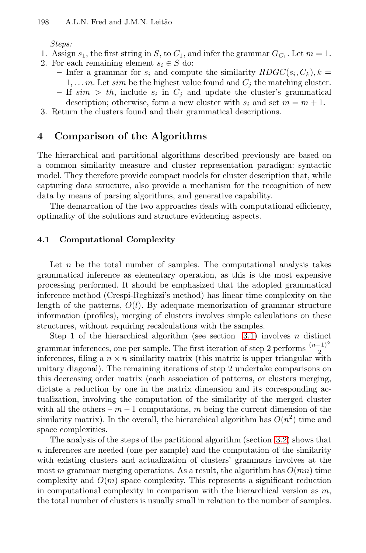Steps:

- <span id="page-5-0"></span>1. Assign  $s_1$ , the first string in S, to  $C_1$ , and infer the grammar  $G_{C_1}$ . Let  $m = 1$ .
- 2. For each remaining element  $s_i \in S$  do:
	- Infer a grammar for  $s_i$  and compute the similarity  $RDC(s_i, C_k)$ ,  $k =$  $1, \ldots m$ . Let sim be the highest value found and  $C_i$  the matching cluster. – If  $sim > th$ , include  $s_i$  in  $C_i$  and update the cluster's grammatical
- description; otherwise, form a new cluster with  $s_i$  and set  $m = m + 1$ . 3. Return the clusters found and their grammatical descriptions.

## **4 Comparison of the Algorithms**

The hierarchical and partitional algorithms described previously are based on a common similarity measure and cluster representation paradigm: syntactic model. They therefore provide compact models for cluster description that, while capturing data structure, also provide a mechanism for the recognition of new data by means of parsing algorithms, and generative capability.

The demarcation of the two approaches deals with computational efficiency, optimality of the solutions and structure evidencing aspects.

#### **4.1 Computational Complexity**

Let  $n$  be the total number of samples. The computational analysis takes grammatical inference as elementary operation, as this is the most expensive processing performed. It should be emphasized that the adopted grammatical inference method (Crespi-Reghizzi's method) has linear time complexity on the length of the patterns,  $O(l)$ . By adequate memorization of grammar structure information (profiles), merging of clusters involves simple calculations on these structures, without requiring recalculations with the samples.

Step 1 of the hierarchical algorithm (see section [3.1\)](#page-4-0) involves n distinct grammar inferences, one per sample. The first iteration of step 2 performs  $\frac{(n-1)^2}{2}$ inferences, filing a  $n \times n$  similarity matrix (this matrix is upper triangular with unitary diagonal). The remaining iterations of step 2 undertake comparisons on this decreasing order matrix (each association of patterns, or clusters merging, dictate a reduction by one in the matrix dimension and its corresponding actualization, involving the computation of the similarity of the merged cluster with all the others –  $m-1$  computations, m being the current dimension of the similarity matrix). In the overall, the hierarchical algorithm has  $O(n^2)$  time and space complexities.

The analysis of the steps of the partitional algorithm (section [3.2\)](#page-4-0) shows that n inferences are needed (one per sample) and the computation of the similarity with existing clusters and actualization of clusters' grammars involves at the most m grammar merging operations. As a result, the algorithm has  $O(mn)$  time complexity and  $O(m)$  space complexity. This represents a significant reduction in computational complexity in comparison with the hierarchical version as  $m$ , the total number of clusters is usually small in relation to the number of samples.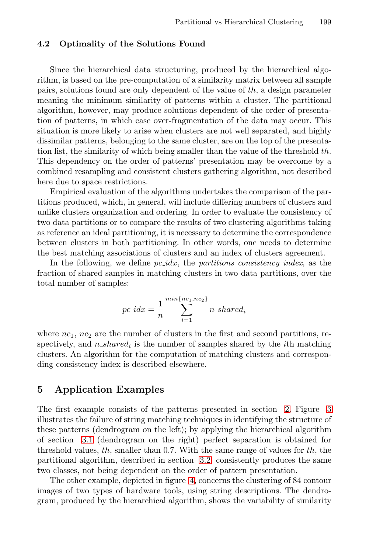#### <span id="page-6-0"></span>**4.2 Optimality of the Solutions Found**

Since the hierarchical data structuring, produced by the hierarchical algorithm, is based on the pre-computation of a similarity matrix between all sample pairs, solutions found are only dependent of the value of th, a design parameter meaning the minimum similarity of patterns within a cluster. The partitional algorithm, however, may produce solutions dependent of the order of presentation of patterns, in which case over-fragmentation of the data may occur. This situation is more likely to arise when clusters are not well separated, and highly dissimilar patterns, belonging to the same cluster, are on the top of the presentation list, the similarity of which being smaller than the value of the threshold th. This dependency on the order of patterns' presentation may be overcome by a combined resampling and consistent clusters gathering algorithm, not described here due to space restrictions.

Empirical evaluation of the algorithms undertakes the comparison of the partitions produced, which, in general, will include differing numbers of clusters and unlike clusters organization and ordering. In order to evaluate the consistency of two data partitions or to compare the results of two clustering algorithms taking as reference an ideal partitioning, it is necessary to determine the correspondence between clusters in both partitioning. In other words, one needs to determine the best matching associations of clusters and an index of clusters agreement.

In the following, we define  $pc\_idx$ , the partitions consistency index, as the fraction of shared samples in matching clusters in two data partitions, over the total number of samples:

$$
pc\_idx = \frac{1}{n} \sum_{i=1}^{min\{nc_1, nc_2\}} n\_shared_i
$$

where  $nc_1$ ,  $nc_2$  are the number of clusters in the first and second partitions, respectively, and  $n\_shared_i$  is the number of samples shared by the *i*th matching clusters. An algorithm for the computation of matching clusters and corresponding consistency index is described elsewhere.

### **5 Application Examples**

The first example consists of the patterns presented in section [2.](#page-1-0) Figure [3](#page-7-0) illustrates the failure of string matching techniques in identifying the structure of these patterns (dendrogram on the left); by applying the hierarchical algorithm of section [3.1](#page-4-0) (dendrogram on the right) perfect separation is obtained for threshold values,  $th$ , smaller than 0.7. With the same range of values for  $th$ , the partitional algorithm, described in section [3.2,](#page-4-0) consistently produces the same two classes, not being dependent on the order of pattern presentation.

The other example, depicted in figure [4,](#page-7-0) concerns the clustering of 84 contour images of two types of hardware tools, using string descriptions. The dendrogram, produced by the hierarchical algorithm, shows the variability of similarity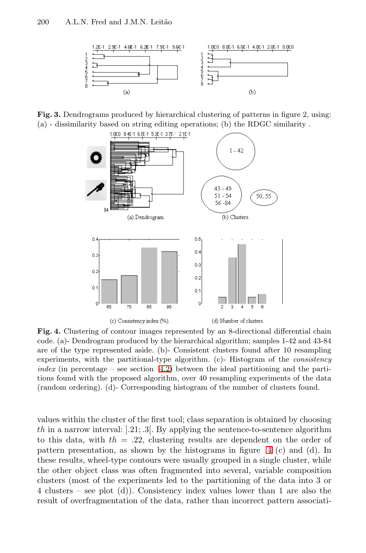<span id="page-7-0"></span>

**Fig. 3.** Dendrograms produced by hierarchical clustering of patterns in figure 2, using: (a) - dissimilarity based on string editing operations; (b) the RDGC similarity .



**Fig. 4.** Clustering of contour images represented by an 8-directional differential chain code. (a)- Dendrogram produced by the hierarchical algorithm; samples 1-42 and 43-84 are of the type represented aside. (b)- Consistent clusters found after 10 resampling experiments, with the partitional-type algorithm. (c)- Histogram of the consistency index (in percentage – see section [4.2\)](#page-6-0) between the ideal partitioning and the partitions found with the proposed algorithm, over 40 resampling experiments of the data (random ordering). (d)- Corresponding histogram of the number of clusters found.

values within the cluster of the first tool; class separation is obtained by choosing th in a narrow interval:  $[21; 3]$ . By applying the sentence-to-sentence algorithm to this data, with  $th = .22$ , clustering results are dependent on the order of pattern presentation, as shown by the histograms in figure 4 (c) and (d). In these results, wheel-type contours were usually grouped in a single cluster, while the other object class was often fragmented into several, variable composition clusters (most of the experiments led to the partitioning of the data into 3 or 4 clusters – see plot (d)). Consistency index values lower than 1 are also the result of overfragmentation of the data, rather than incorrect pattern associati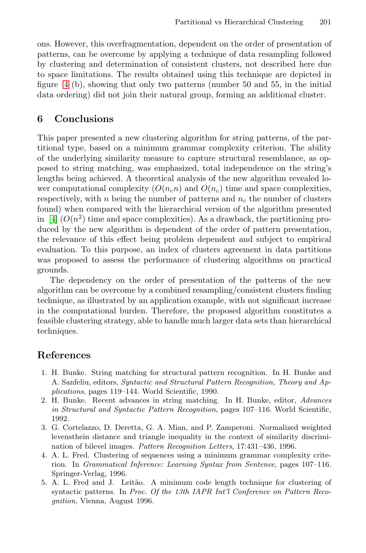<span id="page-8-0"></span>ons. However, this overfragmentation, dependent on the order of presentation of patterns, can be overcome by applying a technique of data resampling followed by clustering and determination of consistent clusters, not described here due to space limitations. The results obtained using this technique are depicted in figure [4](#page-7-0) (b), showing that only two patterns (number 50 and 55, in the initial data ordering) did not join their natural group, forming an additional cluster.

#### **6 Conclusions**

This paper presented a new clustering algorithm for string patterns, of the partitional type, based on a minimum grammar complexity criterion. The ability of the underlying similarity measure to capture structural resemblance, as opposed to string matching, was emphasized, total independence on the string's lengths being achieved. A theoretical analysis of the new algorithm revealed lower computational complexity  $(O(n_c n)$  and  $O(n_c)$  time and space complexities, respectively, with n being the number of patterns and  $n_c$  the number of clusters found) when compared with the hierarchical version of the algorithm presented in [4]  $(O(n^2)$  time and space complexities). As a drawback, the partitioning produced by the new algorithm is dependent of the order of pattern presentation, the relevance of this effect being problem dependent and subject to empirical evaluation. To this purpose, an index of clusters agreement in data partitions was proposed to assess the performance of clustering algorithms on practical grounds.

The dependency on the order of presentation of the patterns of the new algorithm can be overcome by a combined resampling/consistent clusters finding technique, as illustrated by an application example, with not significant increase in the computational burden. Therefore, the proposed algorithm constitutes a feasible clustering strategy, able to handle much larger data sets than hierarchical techniques.

### **References**

- 1. H. Bunke. String matching for structural pattern recognition. In H. Bunke and A. Sanfeliu, editors, Syntactic and Structural Pattern Recognition, Theory and Applications, pages 119–144. World Scientific, 1990.
- 2. H. Bunke. Recent advances in string matching. In H. Bunke, editor, Advances in Structural and Syntactic Pattern Recognition, pages 107–116. World Scientific, 1992.
- 3. G. Cortelazzo, D. Deretta, G. A. Mian, and P. Zamperoni. Normalized weighted levensthein distance and triangle inequality in the context of similarity discrimination of bilevel images. Pattern Recognition Letters, 17:431–436, 1996.
- 4. A. L. Fred. Clustering of sequences using a minimum grammar complexity criterion. In Grammatical Inference: Learning Syntax from Sentence, pages 107–116. Springer-Verlag, 1996.
- 5. A. L. Fred and J. Leit˜ao. A minimum code length technique for clustering of syntactic patterns. In Proc. Of the 13th IAPR Int'l Conference on Pattern Recognition, Vienna, August 1996.